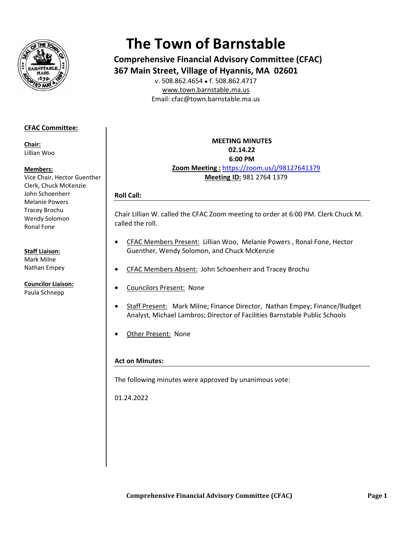

# **The Town of Barnstable**

**Comprehensive Financial Advisory Committee (CFAC)** 367 Main Street, Village of Hyannis, MA 02601

v. 508.862.4654 • f. 508.862.4717 www.town.barnstable.ma.us Email: cfac@town.barnstable.ma.us

# **CFAC Committee:**

Chair: Lillian Woo

#### Members:

Vice Chair, Hector Guenther Clerk, Chuck McKenzie John Schoenherr **Melanie Powers Tracey Brochu** Wendy Solomon Ronal Fone

#### **Staff Liaison:**

Mark Milne Nathan Empey

**Councilor Liaison:** Paula Schnepp

**MEETING MINUTES** 02.14.22 6:00 PM Zoom Meeting: https://zoom.us/j/98127641379 Meeting ID: 981 2764 1379

# **Roll Call:**

Chair Lillian W. called the CFAC Zoom meeting to order at 6:00 PM. Clerk Chuck M. called the roll.

- CFAC Members Present: Lillian Woo, Melanie Powers, Ronal Fone, Hector  $\bullet$ Guenther, Wendy Solomon, and Chuck McKenzie
- CFAC Members Absent: John Schoenherr and Tracey Brochu
- **Councilors Present: None**
- Staff Present: Mark Milne; Finance Director, Nathan Empey; Finance/Budget Analyst, Michael Lambros; Director of Facilities Barnstable Public Schools
- Other Present: None

# **Act on Minutes:**

The following minutes were approved by unanimous vote:

01.24.2022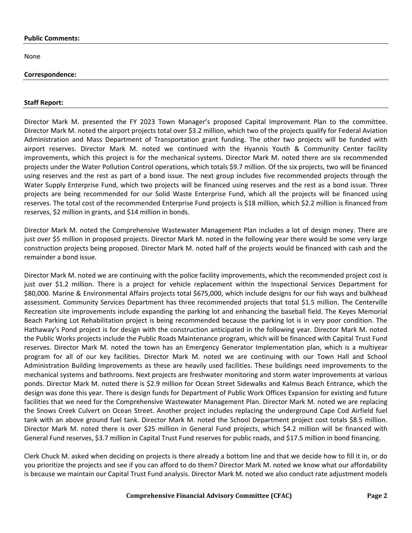#### **Public Comments:**

None

#### **Correspondence:**

#### **Staff Report:**

Director Mark M. presented the FY 2023 Town Manager's proposed Capital Improvement Plan to the committee. Director Mark M. noted the airport projects total over \$3.2 million, which two of the projects qualify for Federal Aviation Administration and Mass Department of Transportation grant funding. The other two projects will be funded with airport reserves. Director Mark M. noted we continued with the Hyannis Youth & Community Center facility improvements, which this project is for the mechanical systems. Director Mark M. noted there are six recommended projects under the Water Pollution Control operations, which totals \$9.7 million. Of the six projects, two will be financed using reserves and the rest as part of a bond issue. The next group includes five recommended projects through the Water Supply Enterprise Fund, which two projects will be financed using reserves and the rest as a bond issue. Three projects are being recommended for our Solid Waste Enterprise Fund, which all the projects will be financed using reserves. The total cost of the recommended Enterprise Fund projects is \$18 million, which \$2.2 million is financed from reserves, \$2 million in grants, and \$14 million in bonds.

Director Mark M. noted the Comprehensive Wastewater Management Plan includes a lot of design money. There are just over \$5 million in proposed projects. Director Mark M. noted in the following year there would be some very large construction projects being proposed. Director Mark M. noted half of the projects would be financed with cash and the remainder a bond issue.

Director Mark M. noted we are continuing with the police facility improvements, which the recommended project cost is just over \$1.2 million. There is a project for vehicle replacement within the Inspectional Services Department for \$80,000. Marine & Environmental Affairs projects total \$675,000, which include designs for our fish ways and bulkhead assessment. Community Services Department has three recommended projects that total \$1.5 million. The Centerville Recreation site improvements include expanding the parking lot and enhancing the baseball field. The Keyes Memorial Beach Parking Lot Rehabilitation project is being recommended because the parking lot is in very poor condition. The Hathaway's Pond project is for design with the construction anticipated in the following year. Director Mark M. noted the Public Works projects include the Public Roads Maintenance program, which will be financed with Capital Trust Fund reserves. Director Mark M. noted the town has an Emergency Generator Implementation plan, which is a multiyear program for all of our key facilities. Director Mark M. noted we are continuing with our Town Hall and School Administration Building Improvements as these are heavily used facilities. These buildings need improvements to the mechanical systems and bathrooms. Next projects are freshwater monitoring and storm water improvements at various ponds. Director Mark M. noted there is \$2.9 million for Ocean Street Sidewalks and Kalmus Beach Entrance, which the design was done this year. There is design funds for Department of Public Work Offices Expansion for existing and future facilities that we need for the Comprehensive Wastewater Management Plan. Director Mark M. noted we are replacing the Snows Creek Culvert on Ocean Street. Another project includes replacing the underground Cape Cod Airfield fuel tank with an above ground fuel tank. Director Mark M. noted the School Department project cost totals \$8.5 million. Director Mark M. noted there is over \$25 million in General Fund projects, which \$4.2 million will be financed with General Fund reserves, \$3.7 million in Capital Trust Fund reserves for public roads, and \$17.5 million in bond financing.

Clerk Chuck M. asked when deciding on projects is there already a bottom line and that we decide how to fill it in, or do you prioritize the projects and see if you can afford to do them? Director Mark M. noted we know what our affordability is because we maintain our Capital Trust Fund analysis. Director Mark M. noted we also conduct rate adjustment models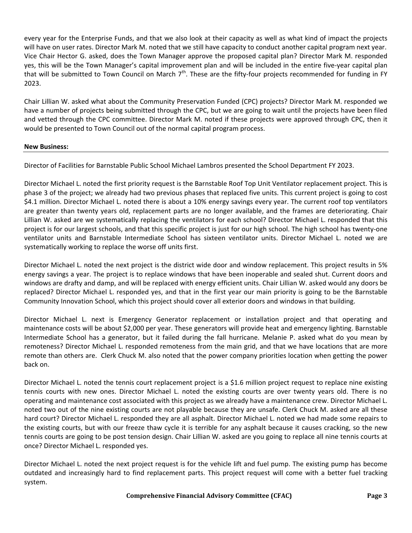every year for the Enterprise Funds, and that we also look at their capacity as well as what kind of impact the projects will have on user rates. Director Mark M. noted that we still have capacity to conduct another capital program next year. Vice Chair Hector G. asked, does the Town Manager approve the proposed capital plan? Director Mark M. responded yes, this will be the Town Manager's capital improvement plan and will be included in the entire five-year capital plan that will be submitted to Town Council on March  $7<sup>th</sup>$ . These are the fifty-four projects recommended for funding in FY 2023.

Chair Lillian W. asked what about the Community Preservation Funded (CPC) projects? Director Mark M. responded we have a number of projects being submitted through the CPC, but we are going to wait until the projects have been filed and vetted through the CPC committee. Director Mark M. noted if these projects were approved through CPC, then it would be presented to Town Council out of the normal capital program process.

# **New Business:**

Director of Facilities for Barnstable Public School Michael Lambros presented the School Department FY 2023.

Director Michael L. noted the first priority request is the Barnstable Roof Top Unit Ventilator replacement project. This is phase 3 of the project; we already had two previous phases that replaced five units. This current project is going to cost \$4.1 million. Director Michael L. noted there is about a 10% energy savings every year. The current roof top ventilators are greater than twenty years old, replacement parts are no longer available, and the frames are deteriorating. Chair Lillian W. asked are we systematically replacing the ventilators for each school? Director Michael L. responded that this project is for our largest schools, and that this specific project is just for our high school. The high school has twenty-one ventilator units and Barnstable Intermediate School has sixteen ventilator units. Director Michael L. noted we are systematically working to replace the worse off units first.

Director Michael L. noted the next project is the district wide door and window replacement. This project results in 5% energy savings a year. The project is to replace windows that have been inoperable and sealed shut. Current doors and windows are drafty and damp, and will be replaced with energy efficient units. Chair Lillian W. asked would any doors be replaced? Director Michael L. responded yes, and that in the first year our main priority is going to be the Barnstable Community Innovation School, which this project should cover all exterior doors and windows in that building.

Director Michael L. next is Emergency Generator replacement or installation project and that operating and maintenance costs will be about \$2,000 per year. These generators will provide heat and emergency lighting. Barnstable Intermediate School has a generator, but it failed during the fall hurricane. Melanie P. asked what do you mean by remoteness? Director Michael L. responded remoteness from the main grid, and that we have locations that are more remote than others are. Clerk Chuck M. also noted that the power company priorities location when getting the power back on.

Director Michael L. noted the tennis court replacement project is a \$1.6 million project request to replace nine existing tennis courts with new ones. Director Michael L. noted the existing courts are over twenty years old. There is no operating and maintenance cost associated with this project as we already have a maintenance crew. Director Michael L. noted two out of the nine existing courts are not playable because they are unsafe. Clerk Chuck M. asked are all these hard court? Director Michael L. responded they are all asphalt. Director Michael L. noted we had made some repairs to the existing courts, but with our freeze thaw cycle it is terrible for any asphalt because it causes cracking, so the new tennis courts are going to be post tension design. Chair Lillian W. asked are you going to replace all nine tennis courts at once? Director Michael L. responded yes.

Director Michael L. noted the next project request is for the vehicle lift and fuel pump. The existing pump has become outdated and increasingly hard to find replacement parts. This project request will come with a better fuel tracking system.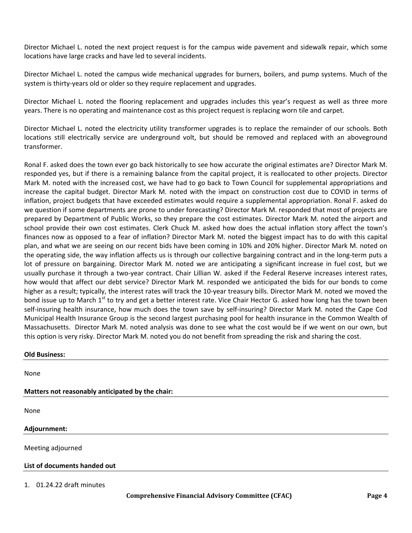Director Michael L. noted the next project request is for the campus wide pavement and sidewalk repair, which some locations have large cracks and have led to several incidents.

Director Michael L. noted the campus wide mechanical upgrades for burners, boilers, and pump systems. Much of the system is thirty-years old or older so they require replacement and upgrades.

Director Michael L. noted the flooring replacement and upgrades includes this year's request as well as three more years. There is no operating and maintenance cost as this project request is replacing worn tile and carpet.

Director Michael L. noted the electricity utility transformer upgrades is to replace the remainder of our schools. Both locations still electrically service are underground volt, but should be removed and replaced with an aboveground transformer.

Ronal F. asked does the town ever go back historically to see how accurate the original estimates are? Director Mark M. responded yes, but if there is a remaining balance from the capital project, it is reallocated to other projects. Director Mark M. noted with the increased cost, we have had to go back to Town Council for supplemental appropriations and increase the capital budget. Director Mark M. noted with the impact on construction cost due to COVID in terms of inflation, project budgets that have exceeded estimates would require a supplemental appropriation. Ronal F. asked do we question if some departments are prone to under forecasting? Director Mark M. responded that most of projects are prepared by Department of Public Works, so they prepare the cost estimates. Director Mark M. noted the airport and school provide their own cost estimates. Clerk Chuck M. asked how does the actual inflation story affect the town's finances now as opposed to a fear of inflation? Director Mark M. noted the biggest impact has to do with this capital plan, and what we are seeing on our recent bids have been coming in 10% and 20% higher. Director Mark M. noted on the operating side, the way inflation affects us is through our collective bargaining contract and in the long-term puts a lot of pressure on bargaining. Director Mark M. noted we are anticipating a significant increase in fuel cost, but we usually purchase it through a two-year contract. Chair Lillian W. asked if the Federal Reserve increases interest rates, how would that affect our debt service? Director Mark M. responded we anticipated the bids for our bonds to come higher as a result; typically, the interest rates will track the 10-year treasury bills. Director Mark M. noted we moved the bond issue up to March 1<sup>st</sup> to try and get a better interest rate. Vice Chair Hector G. asked how long has the town been self-insuring health insurance, how much does the town save by self-insuring? Director Mark M. noted the Cape Cod Municipal Health Insurance Group is the second largest purchasing pool for health insurance in the Common Wealth of Massachusetts. Director Mark M. noted analysis was done to see what the cost would be if we went on our own, but this option is very risky. Director Mark M. noted you do not benefit from spreading the risk and sharing the cost.

#### **Old Business:**

None

# **Matters not reasonably anticipated by the chair:**

None

# **Adjournment:**

Meeting adjourned

# **List of documents handed out**

1. 01.24.22 draft minutes